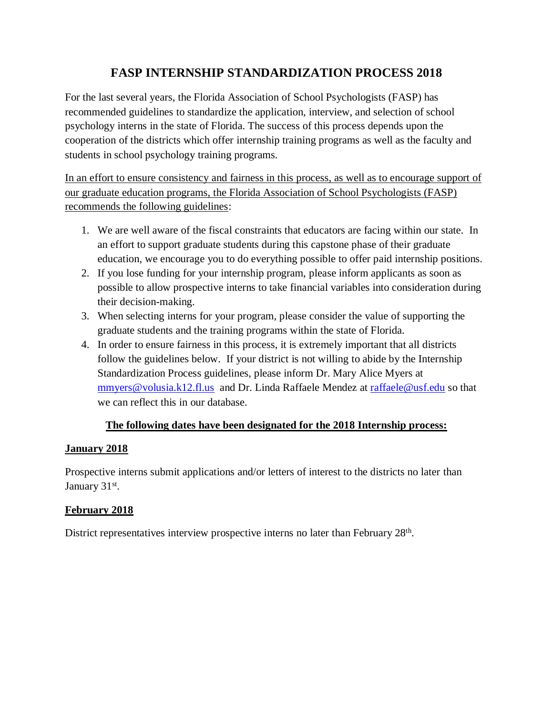# **FASP INTERNSHIP STANDARDIZATION PROCESS 2018**

For the last several years, the Florida Association of School Psychologists (FASP) has recommended guidelines to standardize the application, interview, and selection of school psychology interns in the state of Florida. The success of this process depends upon the cooperation of the districts which offer internship training programs as well as the faculty and students in school psychology training programs.

In an effort to ensure consistency and fairness in this process, as well as to encourage support of our graduate education programs, the Florida Association of School Psychologists (FASP) recommends the following guidelines:

- 1. We are well aware of the fiscal constraints that educators are facing within our state. In an effort to support graduate students during this capstone phase of their graduate education, we encourage you to do everything possible to offer paid internship positions.
- 2. If you lose funding for your internship program, please inform applicants as soon as possible to allow prospective interns to take financial variables into consideration during their decision-making.
- 3. When selecting interns for your program, please consider the value of supporting the graduate students and the training programs within the state of Florida.
- 4. In order to ensure fairness in this process, it is extremely important that all districts follow the guidelines below. If your district is not willing to abide by the Internship Standardization Process guidelines, please inform Dr. Mary Alice Myers at [mmyers@volusia.k12.fl.us](mailto:mmyers@volusia.k12.fl.us) and Dr. Linda Raffaele Mendez at [raffaele@usf.edu](mailto:raffaele@usf.edu) so that we can reflect this in our database.

### **The following dates have been designated for the 2018 Internship process:**

### **January 2018**

Prospective interns submit applications and/or letters of interest to the districts no later than January 31<sup>st</sup>.

## **February 2018**

District representatives interview prospective interns no later than February 28<sup>th</sup>.